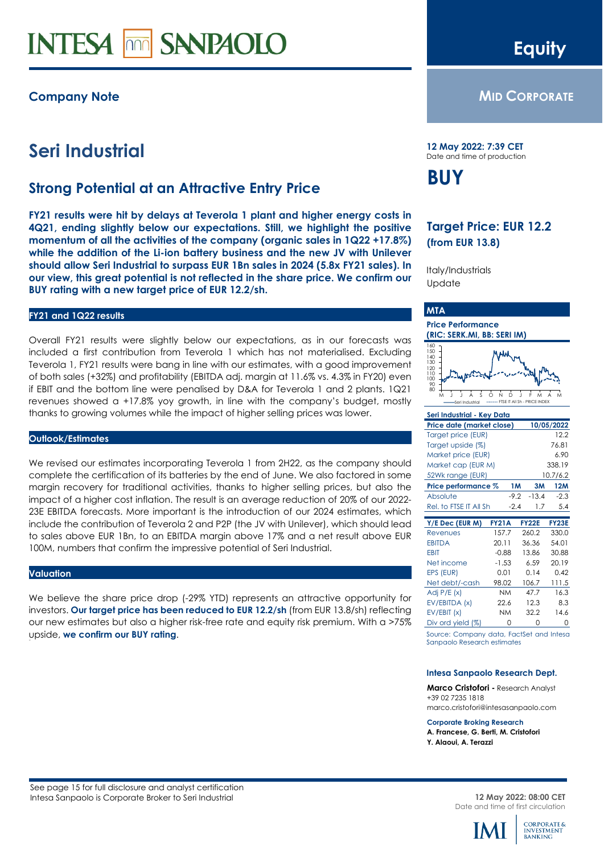# **INTESA mm** SANPAOLO

### **Company Note**

## **Seri Industrial**

### **Strong Potential at an Attractive Entry Price**

**FY21 results were hit by delays at Teverola 1 plant and higher energy costs in 4Q21, ending slightly below our expectations. Still, we highlight the positive momentum of all the activities of the company (organic sales in 1Q22 +17.8%) while the addition of the Li-ion battery business and the new JV with Unilever should allow Seri Industrial to surpass EUR 1Bn sales in 2024 (5.8x FY21 sales). In our view, this great potential is not reflected in the share price. We confirm our BUY rating with a new target price of EUR 12.2/sh.**

#### **FY21 and 1Q22 results**

Overall FY21 results were slightly below our expectations, as in our forecasts was included a first contribution from Teverola 1 which has not materialised. Excluding Teverola 1, FY21 results were bang in line with our estimates, with a good improvement of both sales (+32%) and profitability (EBITDA adj. margin at 11.6% vs. 4.3% in FY20) even if EBIT and the bottom line were penalised by D&A for Teverola 1 and 2 plants. 1Q21 revenues showed a +17.8% yoy growth, in line with the company's budget, mostly thanks to growing volumes while the impact of higher selling prices was lower.

#### **Outlook/Estimates**

We revised our estimates incorporating Teverola 1 from 2H22, as the company should complete the certification of its batteries by the end of June. We also factored in some margin recovery for traditional activities, thanks to higher selling prices, but also the impact of a higher cost inflation. The result is an average reduction of 20% of our 2022- 23E EBITDA forecasts. More important is the introduction of our 2024 estimates, which include the contribution of Teverola 2 and P2P (the JV with Unilever), which should lead to sales above EUR 1Bn, to an EBITDA margin above 17% and a net result above EUR 100M, numbers that confirm the impressive potential of Seri Industrial.

#### **Valuation**

We believe the share price drop (-29% YTD) represents an attractive opportunity for investors. **Our target price has been reduced to EUR 12.2/sh** (from EUR 13.8/sh) reflecting our new estimates but also a higher risk-free rate and equity risk premium. With a >75% upside, **we confirm our BUY rating**.

## **Equity**

### **MID CORPORATE**

**12 May 2022: 7:39 CET** Date and time of production

## **BUY**

### **Target Price: EUR 12.2 (from EUR 13.8)**

Italy/Industrials **Update** 

### **MTA**

#### **Price Performance (RIC: SERK.MI, BB: SERI IM)**



| Seri Industrial - Key Data |              |                   |              |  |  |  |  |  |  |
|----------------------------|--------------|-------------------|--------------|--|--|--|--|--|--|
| Price date (market close)  |              |                   | 10/05/2022   |  |  |  |  |  |  |
| Target price (EUR)         |              |                   | 12.2         |  |  |  |  |  |  |
| Target upside (%)          |              |                   | 76.81        |  |  |  |  |  |  |
| Market price (EUR)         |              |                   | 6.90         |  |  |  |  |  |  |
| Market cap (EUR M)         |              |                   | 338.19       |  |  |  |  |  |  |
| 52Wk range (EUR)           |              | 10.7/6.2          |              |  |  |  |  |  |  |
| Price performance %        |              | <b>1M</b><br>3M   | <b>12M</b>   |  |  |  |  |  |  |
| Absolute                   |              | $-13.4$<br>$-9.2$ | $-2.3$       |  |  |  |  |  |  |
| Rel. to FTSE IT All Sh     | $-2.4$       | 1.7               | 5.4          |  |  |  |  |  |  |
|                            |              |                   |              |  |  |  |  |  |  |
| $Y/E$ Dec (EUR M)          | <b>FY21A</b> | <b>FY22E</b>      | <b>FY23E</b> |  |  |  |  |  |  |
| Revenues                   | 157.7        | 260.2             | 330.0        |  |  |  |  |  |  |
| <b>EBITDA</b>              | 20.11        | 36.36             | 54.01        |  |  |  |  |  |  |
| <b>EBIT</b>                | $-0.88$      | 13.86             | 30.88        |  |  |  |  |  |  |
|                            |              |                   |              |  |  |  |  |  |  |
| Net income                 | $-1.53$      | 6.59              | 20.19        |  |  |  |  |  |  |
| EPS (EUR)                  | 0.01         | 0.14              | 0.42         |  |  |  |  |  |  |
| Net debt/-cash             | 98.02        | 106.7             | 111.5        |  |  |  |  |  |  |
| Adj $P/E(x)$               | <b>NM</b>    | 47.7              | 16.3         |  |  |  |  |  |  |
| EV/EBITDA (x)              | 22.6         | 12.3              | 8.3          |  |  |  |  |  |  |
| EV/EBIT(x)                 | <b>NM</b>    | 32.2              | 14.6         |  |  |  |  |  |  |

Source: Company data, FactSet and Intesa Sanpaolo Research estimates

#### **Intesa Sanpaolo Research Dept.**

**Marco Cristofori -** Research Analyst +39 02 7235 1818 marco.cristofori@intesasanpaolo.com

#### **Corporate Broking Research**

**A. Francese, G. Berti, M. Cristofori Y. Alaoui, A. Terazzi**

<span id="page-0-0"></span>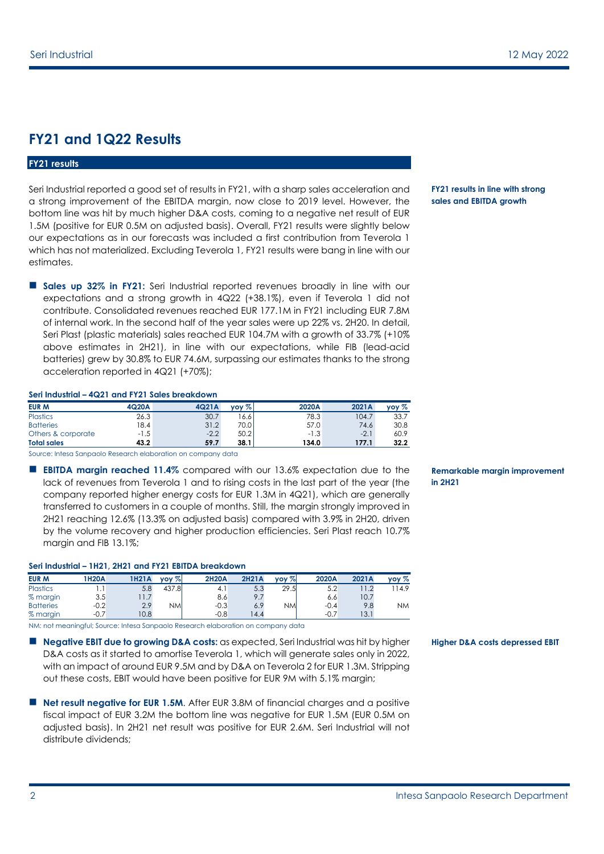### **FY21 and 1Q22 Results**

### **FY21 results**

Seri Industrial reported a good set of results in FY21, with a sharp sales acceleration and a strong improvement of the EBITDA margin, now close to 2019 level. However, the bottom line was hit by much higher D&A costs, coming to a negative net result of EUR 1.5M (positive for EUR 0.5M on adjusted basis). Overall, FY21 results were slightly below our expectations as in our forecasts was included a first contribution from Teverola 1 which has not materialized. Excluding Teverola 1, FY21 results were bang in line with our estimates.

**Sales up 32% in FY21:** Seri Industrial reported revenues broadly in line with our expectations and a strong growth in 4Q22 (+38.1%), even if Teverola 1 did not contribute. Consolidated revenues reached EUR 177.1M in FY21 including EUR 7.8M of internal work. In the second half of the year sales were up 22% vs. 2H20. In detail, Seri Plast (plastic materials) sales reached EUR 104.7M with a growth of 33.7% (+10% above estimates in 2H21), in line with our expectations, while FIB (lead-acid batteries) grew by 30.8% to EUR 74.6M, surpassing our estimates thanks to the strong acceleration reported in 4Q21 (+70%);

#### **Seri Industrial – 4Q21 and FY21 Sales breakdown**

| <b>EUR M</b>       | 4Q20A  | 4Q21A  | vov %l | 2020A  | 2021A  | $\mathsf{v}\mathsf{ov}\mathscr{T}_\mathsf{o}$ |
|--------------------|--------|--------|--------|--------|--------|-----------------------------------------------|
| <b>Plastics</b>    | 26.3   | 30.7   | 16.6   | 78.3   | 104.7  | 33.7                                          |
| <b>Batteries</b>   | 8.4    | 31.2   | 70.0   | 57.0   | 74.6   | 30.8                                          |
| Others & corporate | $-1.5$ | $-2.2$ | 50.2   | $-1.3$ | $-2.1$ | 60.9                                          |
| <b>Total sales</b> | 43.2   | 59.7   | 38.1   | 134.0  | 177.1  | 32.2                                          |

Source: Intesa Sanpaolo Research elaboration on company data

 **EBITDA margin reached 11.4%** compared with our 13.6% expectation due to the lack of revenues from Teverola 1 and to rising costs in the last part of the year (the company reported higher energy costs for EUR 1.3M in 4Q21), which are generally transferred to customers in a couple of months. Still, the margin strongly improved in 2H21 reaching 12.6% (13.3% on adjusted basis) compared with 3.9% in 2H20, driven by the volume recovery and higher production efficiencies. Seri Plast reach 10.7% margin and FIB 13.1%;

#### **Seri Industrial – 1H21, 2H21 and FY21 EBITDA breakdown**

| <b>EUR M</b>     | <b>IH20A</b> | <b>H21A</b>              | $\mathsf{v}\mathsf{o}\mathsf{v}\mathsf{v}$ | <b>2H20A</b> | <b>2H21A</b> | vov % | 2020A  | 2021A | $\mathsf{v}\mathsf{o}\mathsf{v}\mathop{\%}$ |
|------------------|--------------|--------------------------|--------------------------------------------|--------------|--------------|-------|--------|-------|---------------------------------------------|
| <b>Plastics</b>  | . .          | 5.8                      | 437.8                                      | 4. I         | 5.3          | 29.5  | ے.ر    |       | 14.9                                        |
| % margin         | 3.5          | $\overline{\phantom{a}}$ |                                            | 8.6          |              |       | 6.6    | 10.7  |                                             |
| <b>Batteries</b> | $-0.2$       | 2.9                      | ΝM                                         | $-0.3$       | 6.9          | NMI   | $-0.4$ | 9.8   | <b>NM</b>                                   |
| % margin         | $-0.7$       | 10.8                     |                                            | $-0.8$       | 4.4          |       | $-0.7$ | 13.1  |                                             |

NM: not meaningful; Source: Intesa Sanpaolo Research elaboration on company data

- **Negative EBIT due to growing D&A costs:** as expected, Seri Industrial was hit by higher D&A costs as it started to amortise Teverola 1, which will generate sales only in 2022, with an impact of around EUR 9.5M and by D&A on Teverola 2 for EUR 1.3M. Stripping out these costs, EBIT would have been positive for EUR 9M with 5.1% margin;
- **Net result negative for EUR 1.5M**. After EUR 3.8M of financial charges and a positive fiscal impact of EUR 3.2M the bottom line was negative for EUR 1.5M (EUR 0.5M on adjusted basis). In 2H21 net result was positive for EUR 2.6M. Seri Industrial will not distribute dividends;

#### **FY21 results in line with strong sales and EBITDA growth**

**Remarkable margin improvement in 2H21**

**Higher D&A costs depressed EBIT**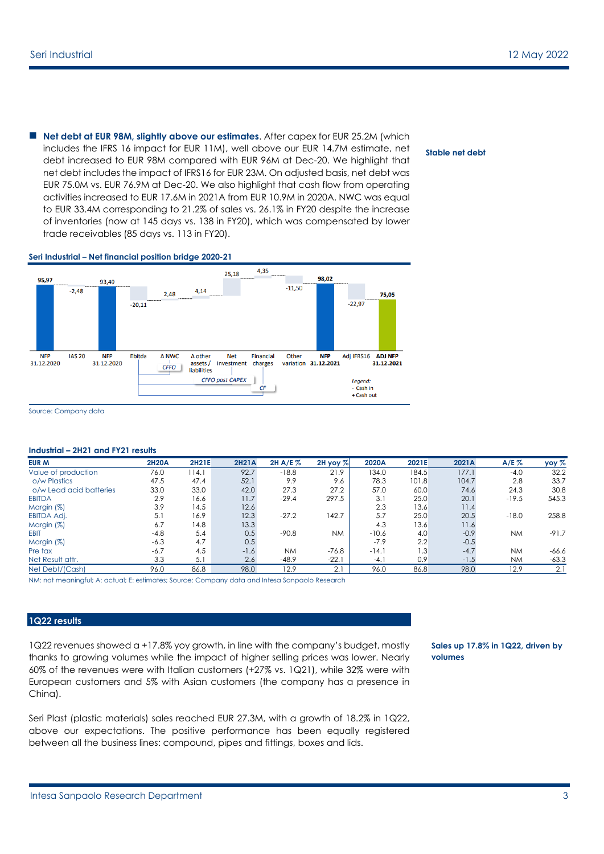**Net debt at EUR 98M, slightly above our estimates**. After capex for EUR 25.2M (which includes the IFRS 16 impact for EUR 11M), well above our EUR 14.7M estimate, net debt increased to EUR 98M compared with EUR 96M at Dec-20. We highlight that net debt includes the impact of IFRS16 for EUR 23M. On adjusted basis, net debt was EUR 75.0M vs. EUR 76.9M at Dec-20. We also highlight that cash flow from operating activities increased to EUR 17.6M in 2021A from EUR 10.9M in 2020A. NWC was equal to EUR 33.4M corresponding to 21.2% of sales vs. 26.1% in FY20 despite the increase of inventories (now at 145 days vs. 138 in FY20), which was compensated by lower trade receivables (85 days vs. 113 in FY20).

#### **Seri Industrial – Net financial position bridge 2020-21**



Source: Company data

#### **Industrial – 2H21 and FY21 results**

| <b>EUR M</b>            | <b>2H20A</b> | <b>2H21E</b> | <b>2H21A</b> | 2H A/E %  | $2H$ yoy $%$ | 2020A   | 2021E | 2021A  | A/E%      | yoy %   |
|-------------------------|--------------|--------------|--------------|-----------|--------------|---------|-------|--------|-----------|---------|
| Value of production     | 76.0         | 114.1        | 92.7         | $-18.8$   | 21.9         | 134.0   | 184.5 | 177.1  | $-4.0$    | 32.2    |
| o/w Plastics            | 47.5         | 47.4         | 52.1         | 9.9       | 9.6          | 78.3    | 101.8 | 104.7  | 2.8       | 33.7    |
| o/w Lead acid batteries | 33.0         | 33.0         | 42.0         | 27.3      | 27.2         | 57.0    | 60.0  | 74.6   | 24.3      | 30.8    |
| <b>EBITDA</b>           | 2.9          | 16.6         | 11.7         | $-29.4$   | 297.5        | 3.1     | 25.0  | 20.1   | $-19.5$   | 545.3   |
| Margin (%)              | 3.9          | 14.5         | 12.6         |           |              | 2.3     | 13.6  | 11.4   |           |         |
| <b>EBITDA Adj.</b>      | 5.1          | 16.9         | 12.3         | $-27.2$   | 142.7        | 5.7     | 25.0  | 20.5   | $-18.0$   | 258.8   |
| Margin (%)              | 6.7          | 14.8         | 13.3         |           |              | 4.3     | 13.6  | 11.6   |           |         |
| <b>EBIT</b>             | $-4.8$       | 5.4          | 0.5          | $-90.8$   | <b>NM</b>    | $-10.6$ | 4.0   | $-0.9$ | <b>NM</b> | $-91.7$ |
| Margin (%)              | $-6.3$       | 4.7          | 0.5          |           |              | $-7.9$  | 2.2   | $-0.5$ |           |         |
| Pre tax                 | $-6.7$       | 4.5          | $-1.6$       | <b>NM</b> | $-76.8$      | $-14.1$ | 1.3   | $-4.7$ | <b>NM</b> | $-66.6$ |
| Net Result attr.        | 3.3          | 5.1          | 2.6          | $-48.9$   | $-22.1$      | $-4.$   | 0.9   | $-1.5$ | <b>NM</b> | $-63.3$ |
| Net Debt/(Cash)         | 96.0         | 86.8         | 98.0         | 12.9      | 2.1          | 96.0    | 86.8  | 98.0   | 12.9      | 2.1     |

NM: not meaningful; A: actual; E: estimates; Source: Company data and Intesa Sanpaolo Research

#### **1Q22 results**

1Q22 revenues showed a +17.8% yoy growth, in line with the company's budget, mostly thanks to growing volumes while the impact of higher selling prices was lower. Nearly 60% of the revenues were with Italian customers (+27% vs. 1Q21), while 32% were with European customers and 5% with Asian customers (the company has a presence in China).

Seri Plast (plastic materials) sales reached EUR 27.3M, with a growth of 18.2% in 1Q22, above our expectations. The positive performance has been equally registered between all the business lines: compound, pipes and fittings, boxes and lids.

**Sales up 17.8% in 1Q22, driven by volumes**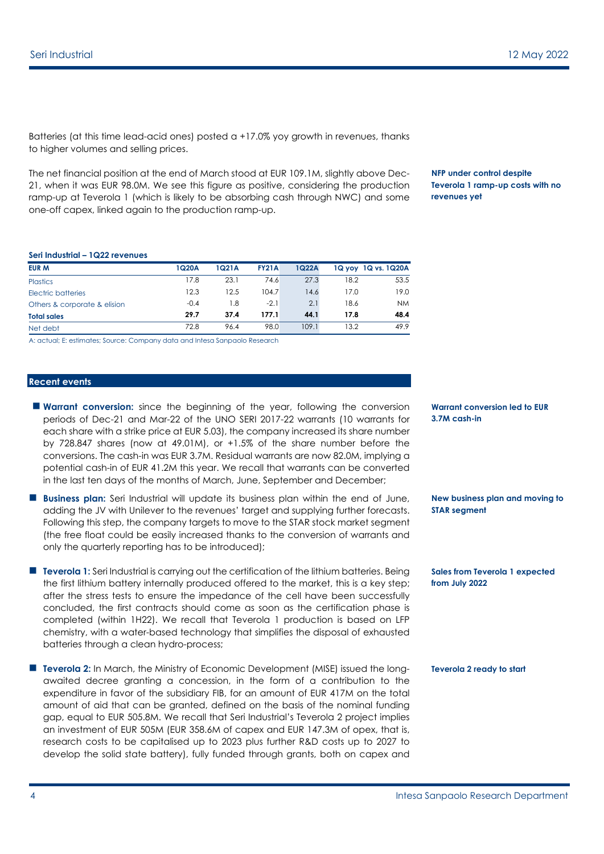Batteries (at this time lead-acid ones) posted  $a + 17.0\%$  yoy growth in revenues, thanks to higher volumes and selling prices.

The net financial position at the end of March stood at EUR 109.1M, slightly above Dec-21, when it was EUR 98.0M. We see this figure as positive, considering the production ramp-up at Teverola 1 (which is likely to be absorbing cash through NWC) and some one-off capex, linked again to the production ramp-up.

**NFP under control despite Teverola 1 ramp-up costs with no revenues yet**

#### **Seri Industrial – 1Q22 revenues**

| <b>EUR M</b>                 | 1Q20A  | 1Q21A | <b>FY21A</b> | 1Q22A |      | 1Q yoy 1Q vs. 1Q20A |
|------------------------------|--------|-------|--------------|-------|------|---------------------|
| <b>Plastics</b>              | 17.8   | 23.1  | 74.6         | 27.3  | 18.2 | 53.5                |
| Electric batteries           | 12.3   | 12.5  | 104.7        | 14.6  | 17.0 | 19.0                |
| Others & corporate & elision | $-0.4$ | 1.8   | $-2.1$       | 2.1   | 18.6 | <b>NM</b>           |
| <b>Total sales</b>           | 29.7   | 37.4  | 177.1        | 44.1  | 17.8 | 48.4                |
| Net debt                     | 72.8   | 96.4  | 98.0         | 109.1 | 13.2 | 49.9                |

A: actual; E: estimates; Source: Company data and Intesa Sanpaolo Research

#### **Recent events**

- **Warrant conversion:** since the beginning of the year, following the conversion periods of Dec-21 and Mar-22 of the UNO SERI 2017-22 warrants (10 warrants for each share with a strike price at EUR 5.03), the company increased its share number by 728.847 shares (now at 49.01M), or +1.5% of the share number before the conversions. The cash-in was EUR 3.7M. Residual warrants are now 82.0M, implying a potential cash-in of EUR 41.2M this year. We recall that warrants can be converted in the last ten days of the months of March, June, September and December;
- **Business plan:** Seri Industrial will update its business plan within the end of June, adding the JV with Unilever to the revenues' target and supplying further forecasts. Following this step, the company targets to move to the STAR stock market segment (the free float could be easily increased thanks to the conversion of warrants and only the quarterly reporting has to be introduced);
- **Teverola 1:** Seri Industrial is carrying out the certification of the lithium batteries. Being the first lithium battery internally produced offered to the market, this is a key step; after the stress tests to ensure the impedance of the cell have been successfully concluded, the first contracts should come as soon as the certification phase is completed (within 1H22). We recall that Teverola 1 production is based on LFP chemistry, with a water-based technology that simplifies the disposal of exhausted batteries through a clean hydro-process;
- **Teverola 2:** In March, the Ministry of Economic Development (MISE) issued the longawaited decree granting a concession, in the form of a contribution to the expenditure in favor of the subsidiary FIB, for an amount of EUR 417M on the total amount of aid that can be granted, defined on the basis of the nominal funding gap, equal to EUR 505.8M. We recall that Seri Industrial's Teverola 2 project implies an investment of EUR 505M (EUR 358.6M of capex and EUR 147.3M of opex, that is, research costs to be capitalised up to 2023 plus further R&D costs up to 2027 to develop the solid state battery), fully funded through grants, both on capex and

**Warrant conversion led to EUR 3.7M cash-in**

**New business plan and moving to STAR segment**

**Sales from Teverola 1 expected from July 2022**

**Teverola 2 ready to start**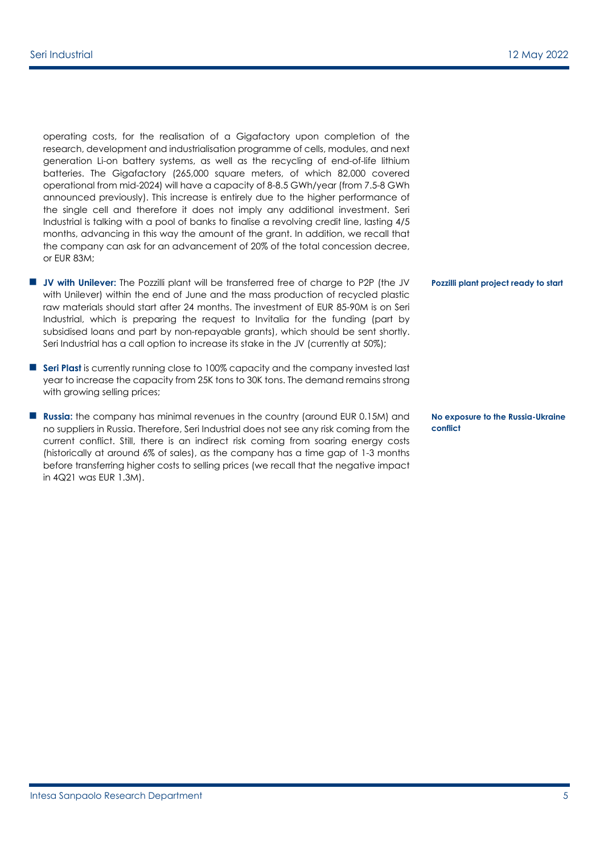operating costs, for the realisation of a Gigafactory upon completion of the research, development and industrialisation programme of cells, modules, and next generation Li-on battery systems, as well as the recycling of end-of-life lithium batteries. The Gigafactory (265,000 square meters, of which 82,000 covered operational from mid-2024) will have a capacity of 8-8.5 GWh/year (from 7.5-8 GWh announced previously). This increase is entirely due to the higher performance of the single cell and therefore it does not imply any additional investment. Seri Industrial is talking with a pool of banks to finalise a revolving credit line, lasting 4/5 months, advancing in this way the amount of the grant. In addition, we recall that the company can ask for an advancement of 20% of the total concession decree, or EUR 83M;

- **JV with Unilever:** The Pozzilli plant will be transferred free of charge to P2P (the JV with Unilever) within the end of June and the mass production of recycled plastic raw materials should start after 24 months. The investment of EUR 85-90M is on Seri Industrial, which is preparing the request to Invitalia for the funding (part by subsidised loans and part by non-repayable grants), which should be sent shortly. Seri Industrial has a call option to increase its stake in the JV (currently at 50%);
- **Seri Plast** is currently running close to 100% capacity and the company invested last year to increase the capacity from 25K tons to 30K tons. The demand remains strong with growing selling prices;
- **Russia:** the company has minimal revenues in the country (around EUR 0.15M) and no suppliers in Russia. Therefore, Seri Industrial does not see any risk coming from the current conflict. Still, there is an indirect risk coming from soaring energy costs (historically at around 6% of sales), as the company has a time gap of 1-3 months before transferring higher costs to selling prices (we recall that the negative impact in 4Q21 was EUR 1.3M).

**Pozzilli plant project ready to start**

**No exposure to the Russia-Ukraine conflict**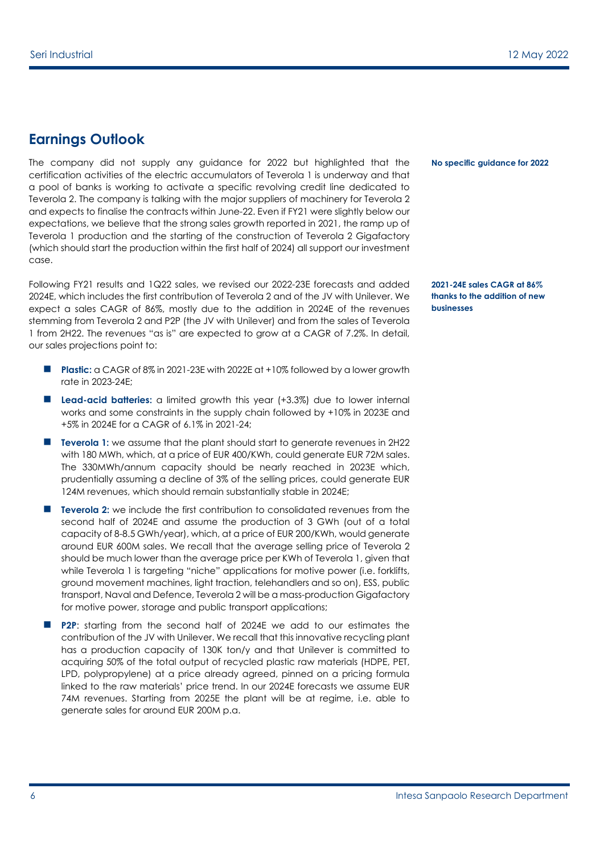### **Earnings Outlook**

The company did not supply any guidance for 2022 but highlighted that the certification activities of the electric accumulators of Teverola 1 is underway and that a pool of banks is working to activate a specific revolving credit line dedicated to Teverola 2. The company is talking with the major suppliers of machinery for Teverola 2 and expects to finalise the contracts within June-22. Even if FY21 were slightly below our expectations, we believe that the strong sales growth reported in 2021, the ramp up of Teverola 1 production and the starting of the construction of Teverola 2 Gigafactory (which should start the production within the first half of 2024) all support our investment case.

Following FY21 results and 1Q22 sales, we revised our 2022-23E forecasts and added 2024E, which includes the first contribution of Teverola 2 and of the JV with Unilever. We expect a sales CAGR of 86%, mostly due to the addition in 2024E of the revenues stemming from Teverola 2 and P2P (the JV with Unilever) and from the sales of Teverola 1 from 2H22. The revenues "as is" are expected to grow at a CAGR of 7.2%. In detail, our sales projections point to:

- **Plastic:** a CAGR of 8% in 2021-23E with 2022E at +10% followed by a lower growth rate in 2023-24E;
- **Lead-acid batteries:** a limited growth this year (+3.3%) due to lower internal works and some constraints in the supply chain followed by +10% in 2023E and +5% in 2024E for a CAGR of 6.1% in 2021-24;
- **Teverola 1:** we assume that the plant should start to generate revenues in 2H22 with 180 MWh, which, at a price of EUR 400/KWh, could generate EUR 72M sales. The 330MWh/annum capacity should be nearly reached in 2023E which, prudentially assuming a decline of 3% of the selling prices, could generate EUR 124M revenues, which should remain substantially stable in 2024E;
- **Teverola 2:** we include the first contribution to consolidated revenues from the second half of 2024E and assume the production of 3 GWh (out of a total capacity of 8-8.5 GWh/year), which, at a price of EUR 200/KWh, would generate around EUR 600M sales. We recall that the average selling price of Teverola 2 should be much lower than the average price per KWh of Teverola 1, given that while Teverola 1 is targeting "niche" applications for motive power (i.e. forklifts, ground movement machines, light traction, telehandlers and so on), ESS, public transport, Naval and Defence, Teverola 2 will be a mass-production Gigafactory for motive power, storage and public transport applications;
- **P2P:** starting from the second half of 2024E we add to our estimates the contribution of the JV with Unilever. We recall that this innovative recycling plant has a production capacity of 130K ton/y and that Unilever is committed to acquiring 50% of the total output of recycled plastic raw materials (HDPE, PET, LPD, polypropylene) at a price already agreed, pinned on a pricing formula linked to the raw materials' price trend. In our 2024E forecasts we assume EUR 74M revenues. Starting from 2025E the plant will be at regime, i.e. able to generate sales for around EUR 200M p.a.

**No specific guidance for 2022**

**2021-24E sales CAGR at 86% thanks to the addition of new businesses**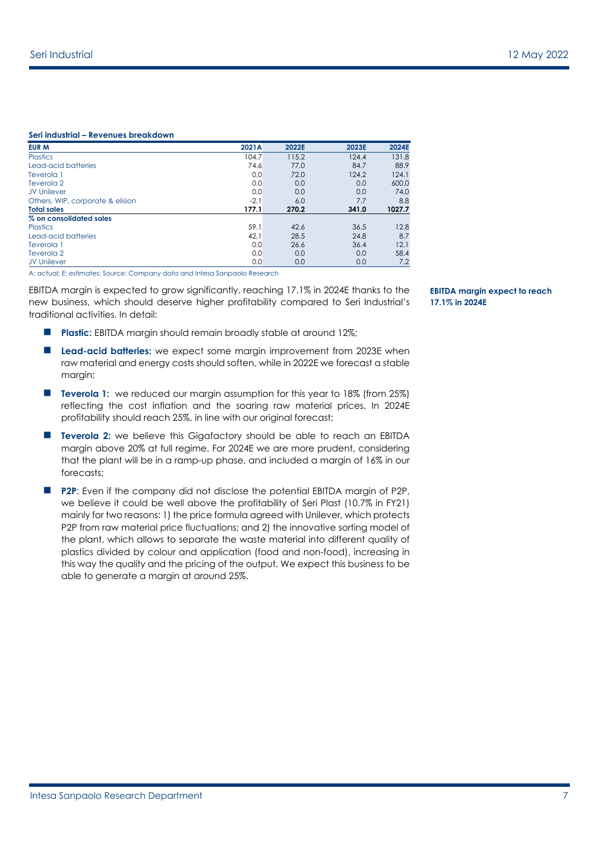#### **Seri industrial – Revenues breakdown**

| EUR M                            | 2021A  | 2022E | 2023E | 2024E  |
|----------------------------------|--------|-------|-------|--------|
| <b>Plastics</b>                  | 104.7  | 115.2 | 124.4 | 131.8  |
| Lead-acid batteries              | 74.6   | 77.0  | 84.7  | 88.9   |
| Teverola 1                       | 0.0    | 72.0  | 124.2 | 124.1  |
| Teverola 2                       | 0.0    | 0.0   | 0.0   | 600.0  |
| <b>JV Unilever</b>               | 0.0    | 0.0   | 0.0   | 74.0   |
| Others, WIP, corporate & elision | $-2.1$ | 6.0   | 7.7   | 8.8    |
| <b>Total sales</b>               | 177.1  | 270.2 | 341.0 | 1027.7 |
| % on consolidated sales          |        |       |       |        |
| <b>Plastics</b>                  | 59.1   | 42.6  | 36.5  | 12.8   |
| Lead-acid batteries              | 42.1   | 28.5  | 24.8  | 8.7    |
| Teverola 1                       | 0.0    | 26.6  | 36.4  | 12.1   |
| Teverola 2                       | 0.0    | 0.0   | 0.0   | 58.4   |
| <b>JV Unilever</b>               | 0.0    | 0.0   | 0.0   | 7.2    |

A: actual; E: estimates; Source: Company data and Intesa Sanpaolo Research

EBITDA margin is expected to grow significantly, reaching 17.1% in 2024E thanks to the new business, which should deserve higher profitability compared to Seri Industrial's traditional activities. In detail:

- **Plastic:** EBITDA margin should remain broadly stable at around 12%;
- **Lead-acid batteries:** we expect some margin improvement from 2023E when raw material and energy costs should soften, while in 2022E we forecast a stable margin;
- **Teverola 1:** we reduced our margin assumption for this year to 18% (from 25%) reflecting the cost inflation and the soaring raw material prices. In 2024E profitability should reach 25%, in line with our original forecast;
- **Teverola 2:** we believe this Gigafactory should be able to reach an EBITDA margin above 20% at full regime. For 2024E we are more prudent, considering that the plant will be in a ramp-up phase, and included a margin of 16% in our forecasts;
- **P2P:** Even if the company did not disclose the potential EBITDA margin of P2P, we believe it could be well above the profitability of Seri Plast (10.7% in FY21) mainly for two reasons: 1) the price formula agreed with Unilever, which protects P2P from raw material price fluctuations; and 2) the innovative sorting model of the plant, which allows to separate the waste material into different quality of plastics divided by colour and application (food and non-food), increasing in this way the quality and the pricing of the output. We expect this business to be able to generate a margin at around 25%.

**EBITDA margin expect to reach 17.1% in 2024E**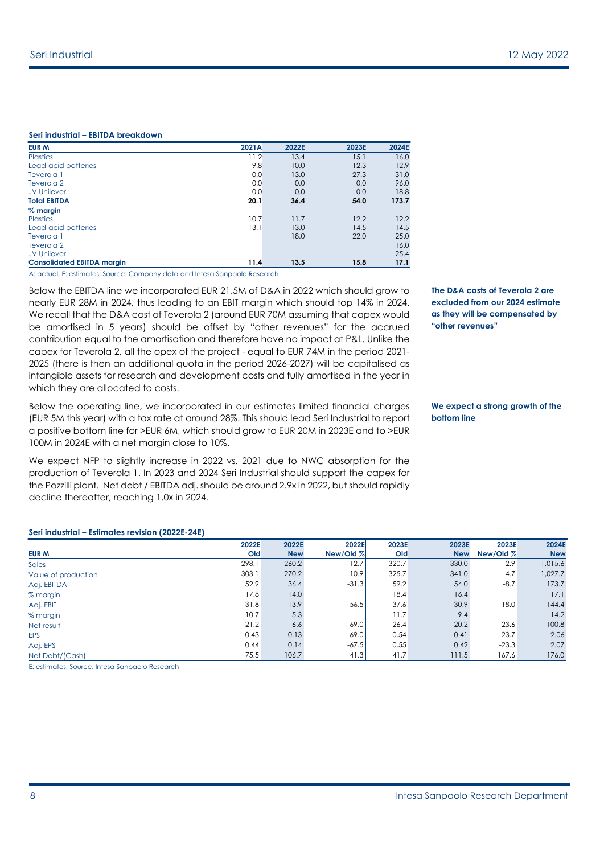#### **Seri industrial – EBITDA breakdown**

| <b>EUR M</b>                      | 2021A | 2022E | 2023E | 2024E |
|-----------------------------------|-------|-------|-------|-------|
| <b>Plastics</b>                   | 11.2  | 13.4  | 15.1  | 16.0  |
| Lead-acid batteries               | 9.8   | 10.0  | 12.3  | 12.9  |
| Teverola 1                        | 0.0   | 13.0  | 27.3  | 31.0  |
| Teverola 2                        | 0.0   | 0.0   | 0.0   | 96.0  |
| <b>JV Unilever</b>                | 0.0   | 0.0   | 0.0   | 18.8  |
| <b>Total EBITDA</b>               | 20.1  | 36.4  | 54.0  | 173.7 |
| $%$ margin                        |       |       |       |       |
| <b>Plastics</b>                   | 10.7  | 11.7  | 12.2  | 12.2  |
| Lead-acid batteries               | 13.1  | 13.0  | 14.5  | 14.5  |
| Teverola 1                        |       | 18.0  | 22.0  | 25.0  |
| Teverola 2                        |       |       |       | 16.0  |
| <b>JV Unilever</b>                |       |       |       | 25.4  |
| <b>Consolidated EBITDA margin</b> | 11.4  | 13.5  | 15.8  | 17.1  |

A: actual; E: estimates; Source: Company data and Intesa Sanpaolo Research

Below the EBITDA line we incorporated EUR 21.5M of D&A in 2022 which should grow to nearly EUR 28M in 2024, thus leading to an EBIT margin which should top 14% in 2024. We recall that the D&A cost of Teverola 2 (around EUR 70M assuming that capex would be amortised in 5 years) should be offset by "other revenues" for the accrued contribution equal to the amortisation and therefore have no impact at P&L. Unlike the capex for Teverola 2, all the opex of the project - equal to EUR 74M in the period 2021- 2025 (there is then an additional quota in the period 2026-2027) will be capitalised as intangible assets for research and development costs and fully amortised in the year in which they are allocated to costs.

Below the operating line, we incorporated in our estimates limited financial charges (EUR 5M this year) with a tax rate at around 28%. This should lead Seri Industrial to report a positive bottom line for >EUR 6M, which should grow to EUR 20M in 2023E and to >EUR 100M in 2024E with a net margin close to 10%.

We expect NFP to slightly increase in 2022 vs. 2021 due to NWC absorption for the production of Teverola 1. In 2023 and 2024 Seri Industrial should support the capex for the Pozzilli plant. Net debt / EBITDA adj. should be around 2.9x in 2022, but should rapidly decline thereafter, reaching 1.0x in 2024.

**The D&A costs of Teverola 2 are excluded from our 2024 estimate as they will be compensated by "other revenues"**

#### **We expect a strong growth of the bottom line**

|                     | 2022E | 2022E      | 2022E     | 2023E | 2023E      | 2023E     | 2024E      |
|---------------------|-------|------------|-----------|-------|------------|-----------|------------|
| <b>EUR M</b>        | Old   | <b>New</b> | New/Old % | Old   | <b>New</b> | New/Old % | <b>New</b> |
| <b>Sales</b>        | 298.1 | 260.2      | $-12.7$   | 320.7 | 330.0      | 2.9       | 1,015.6    |
| Value of production | 303.1 | 270.2      | $-10.9$   | 325.7 | 341.0      | 4.7       | 1,027.7    |
| Adj. EBITDA         | 52.9  | 36.4       | $-31.3$   | 59.2  | 54.0       | $-8.7$    | 173.7      |
| % margin            | 17.8  | 14.0       |           | 18.4  | 16.4       |           | 17.1       |
| Adj. EBIT           | 31.8  | 13.9       | $-56.5$   | 37.6  | 30.9       | $-18.0$   | 144.4      |
| % margin            | 10.7  | 5.3        |           | 11.7  | 9.4        |           | 14.2       |
| Net result          | 21.2  | 6.6        | $-69.0$   | 26.4  | 20.2       | $-23.6$   | 100.8      |
| <b>EPS</b>          | 0.43  | 0.13       | $-69.0$   | 0.54  | 0.41       | $-23.7$   | 2.06       |
| Adj. EPS            | 0.44  | 0.14       | $-67.5$   | 0.55  | 0.42       | $-23.3$   | 2.07       |
| Net Debt/(Cash)     | 75.5  | 106.7      | 41.3      | 41.7  | 111.5      | 167.6     | 176.0      |

E: estimates; Source: Intesa Sanpaolo Research

**Seri industrial – Estimates revision (2022E-24E)**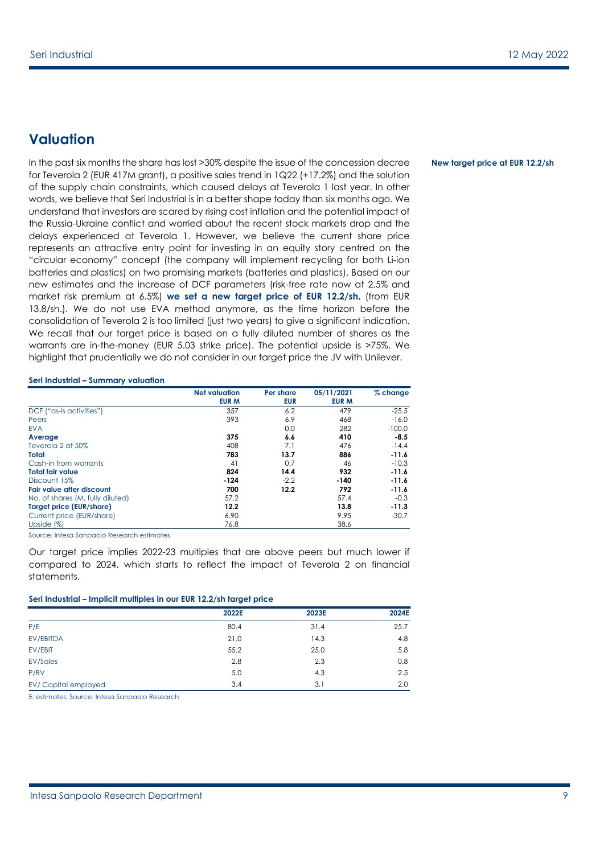### **Valuation**

In the past six months the share has lost >30% despite the issue of the concession decree for Teverola 2 (EUR 417M grant), a positive sales trend in 1Q22 (+17.2%) and the solution of the supply chain constraints, which caused delays at Teverola 1 last year. In other words, we believe that Seri Industrial is in a better shape today than six months ago. We understand that investors are scared by rising cost inflation and the potential impact of the Russia-Ukraine conflict and worried about the recent stock markets drop and the delays experienced at Teverola 1. However, we believe the current share price represents an attractive entry point for investing in an equity story centred on the "circular economy" concept (the company will implement recycling for both Li-ion batteries and plastics) on two promising markets (batteries and plastics). Based on our new estimates and the increase of DCF parameters (risk-free rate now at 2.5% and market risk premium at 6.5%) **we set a new target price of EUR 12.2/sh.** (from EUR 13.8/sh.). We do not use EVA method anymore, as the time horizon before the consolidation of Teverola 2 is too limited (just two years) to give a significant indication. We recall that our target price is based on a fully diluted number of shares as the warrants are in-the-money (EUR 5.03 strike price). The potential upside is >75%. We highlight that prudentially we do not consider in our target price the JV with Unilever.

#### **Seri Industrial – Summary valuation**

|                                  | <b>Net valuation</b> | Per share  | 05/11/2021   | $%$ change |
|----------------------------------|----------------------|------------|--------------|------------|
|                                  | <b>EUR M</b>         | <b>EUR</b> | <b>EUR M</b> |            |
| DCF ("as-is activities")         | 357                  | 6.2        | 479          | $-25.5$    |
| Peers                            | 393                  | 6.9        | 468          | $-16.0$    |
| <b>EVA</b>                       |                      | 0.0        | 282          | $-100.0$   |
| Average                          | 375                  | 6.6        | 410          | $-8.5$     |
| Teverola 2 at 50%                | 408                  | 7.1        | 476          | $-14.4$    |
| Total                            | 783                  | 13.7       | 886          | $-11.6$    |
| Cash-in from warrants            | 41                   | 0.7        | 46           | $-10.3$    |
| <b>Total fair value</b>          | 824                  | 14.4       | 932          | $-11.6$    |
| Discount 15%                     | $-124$               | $-2.2$     | -140         | $-11.6$    |
| <b>Fair value after discount</b> | 700                  | 12.2       | 792          | $-11.6$    |
| No. of shares (M, fully diluted) | 57.2                 |            | 57.4         | $-0.3$     |
| Target price (EUR/share)         | 12.2                 |            | 13.8         | $-11.3$    |
| Current price (EUR/share)        | 6.90                 |            | 9.95         | $-30.7$    |
| Upside $(\%)$                    | 76.8                 |            | 38.6         |            |

Source: Intesa Sanpaolo Research estimates

Our target price implies 2022-23 multiples that are above peers but much lower if compared to 2024, which starts to reflect the impact of Teverola 2 on financial statements.

#### **Seri Industrial – Implicit multiples in our EUR 12.2/sh target price**

|                     | 2022E | 2023E | 2024E |
|---------------------|-------|-------|-------|
| P/E                 | 80.4  | 31.4  | 25.7  |
| EV/EBITDA           | 21.0  | 14.3  | 4.8   |
| EV/EBIT             | 55.2  | 25.0  | 5.8   |
| <b>EV/Sales</b>     | 2.8   | 2.3   | 0.8   |
| P/BV                | 5.0   | 4.3   | 2.5   |
| EV/Capital employed | 3.4   | 3.1   | 2.0   |

E: estimates; Source: Intesa Sanpaolo Research

#### **New target price at EUR 12.2/sh**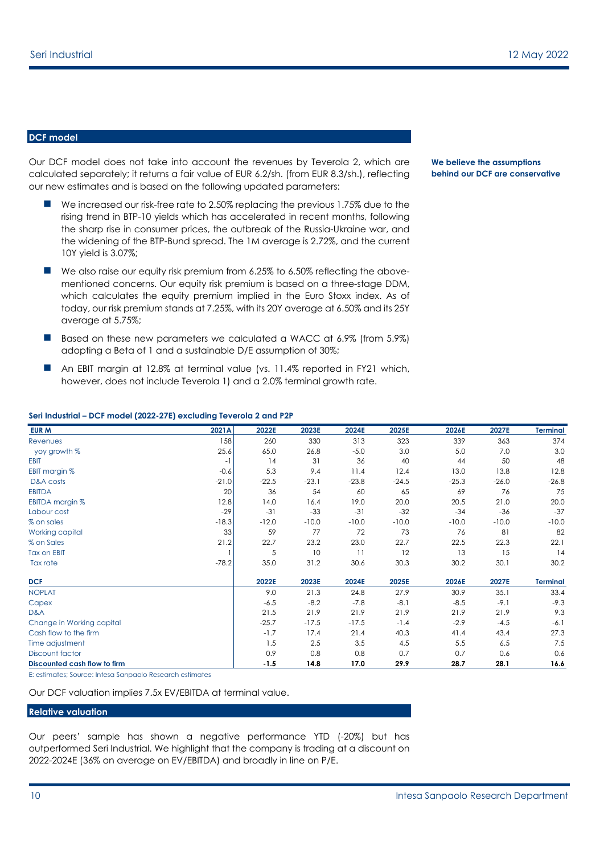#### **DCF model**

Our DCF model does not take into account the revenues by Teverola 2, which are calculated separately; it returns a fair value of EUR 6.2/sh. (from EUR 8.3/sh.), reflecting our new estimates and is based on the following updated parameters:

- We increased our risk-free rate to 2.50% replacing the previous 1.75% due to the rising trend in BTP-10 yields which has accelerated in recent months, following the sharp rise in consumer prices, the outbreak of the Russia-Ukraine war, and the widening of the BTP-Bund spread. The 1M average is 2.72%, and the current 10Y yield is 3.07%;
- We also raise our equity risk premium from 6.25% to 6.50% reflecting the abovementioned concerns. Our equity risk premium is based on a three-stage DDM, which calculates the equity premium implied in the Euro Stoxx index. As of today, our risk premium stands at 7.25%, with its 20Y average at 6.50% and its 25Y average at 5.75%;
- Based on these new parameters we calculated a WACC at 6.9% (from 5.9%) adopting a Beta of 1 and a sustainable D/E assumption of 30%;
- An EBIT margin at 12.8% at terminal value (vs. 11.4% reported in FY21 which, however, does not include Teverola 1) and a 2.0% terminal growth rate.

#### **Seri Industrial – DCF model (2022-27E) excluding Teverola 2 and P2P**

| <b>EUR M</b>                 | 2021A   | 2022E   | 2023E   | 2024E   | 2025E   | 2026E   | 2027E   | <b>Terminal</b> |
|------------------------------|---------|---------|---------|---------|---------|---------|---------|-----------------|
| <b>Revenues</b>              | 158     | 260     | 330     | 313     | 323     | 339     | 363     | 374             |
| yoy growth %                 | 25.6    | 65.0    | 26.8    | $-5.0$  | 3.0     | 5.0     | 7.0     | 3.0             |
| <b>EBIT</b>                  | $-1$    | 14      | 31      | 36      | 40      | 44      | 50      | 48              |
| EBIT margin %                | $-0.6$  | 5.3     | 9.4     | 11.4    | 12.4    | 13.0    | 13.8    | 12.8            |
| D&A costs                    | $-21.0$ | $-22.5$ | $-23.1$ | $-23.8$ | $-24.5$ | $-25.3$ | $-26.0$ | $-26.8$         |
| <b>EBITDA</b>                | 20      | 36      | 54      | 60      | 65      | 69      | 76      | 75              |
| EBITDA margin %              | 12.8    | 14.0    | 16.4    | 19.0    | 20.0    | 20.5    | 21.0    | 20.0            |
| Labour cost                  | $-29$   | $-31$   | $-33$   | $-31$   | $-32$   | $-34$   | $-36$   | $-37$           |
| % on sales                   | $-18.3$ | $-12.0$ | $-10.0$ | $-10.0$ | $-10.0$ | $-10.0$ | $-10.0$ | $-10.0$         |
| Working capital              | 33      | 59      | 77      | 72      | 73      | 76      | 81      | 82              |
| % on Sales                   | 21.2    | 22.7    | 23.2    | 23.0    | 22.7    | 22.5    | 22.3    | 22.1            |
| <b>Tax on EBIT</b>           |         | 5       | 10      | 11      | 12      | 13      | 15      | 14              |
| Tax rate                     | $-78.2$ | 35.0    | 31.2    | 30.6    | 30.3    | 30.2    | 30.1    | 30.2            |
| DCF                          |         | 2022E   | 2023E   | 2024E   | 2025E   | 2026E   | 2027E   | <b>Terminal</b> |
| <b>NOPLAT</b>                |         | 9.0     | 21.3    | 24.8    | 27.9    | 30.9    | 35.1    | 33.4            |
| Capex                        |         | $-6.5$  | $-8.2$  | $-7.8$  | $-8.1$  | $-8.5$  | $-9.1$  | $-9.3$          |
| D&A                          |         | 21.5    | 21.9    | 21.9    | 21.9    | 21.9    | 21.9    | 9.3             |
| Change in Working capital    |         | $-25.7$ | $-17.5$ | $-17.5$ | $-1.4$  | $-2.9$  | $-4.5$  | $-6.1$          |
| Cash flow to the firm        |         | $-1.7$  | 17.4    | 21.4    | 40.3    | 41.4    | 43.4    | 27.3            |
| Time adjustment              |         | 1.5     | 2.5     | 3.5     | 4.5     | 5.5     | 6.5     | 7.5             |
| <b>Discount factor</b>       |         | 0.9     | 0.8     | 0.8     | 0.7     | 0.7     | 0.6     | 0.6             |
| Discounted cash flow to firm |         | $-1.5$  | 14.8    | 17.0    | 29.9    | 28.7    | 28.1    | 16.6            |

E: estimates; Source: Intesa Sanpaolo Research estimates

Our DCF valuation implies 7.5x EV/EBITDA at terminal value.

#### **Relative valuation**

Our peers' sample has shown a negative performance YTD (-20%) but has outperformed Seri Industrial. We highlight that the company is trading at a discount on 2022-2024E (36% on average on EV/EBITDA) and broadly in line on P/E.

#### **We believe the assumptions behind our DCF are conservative**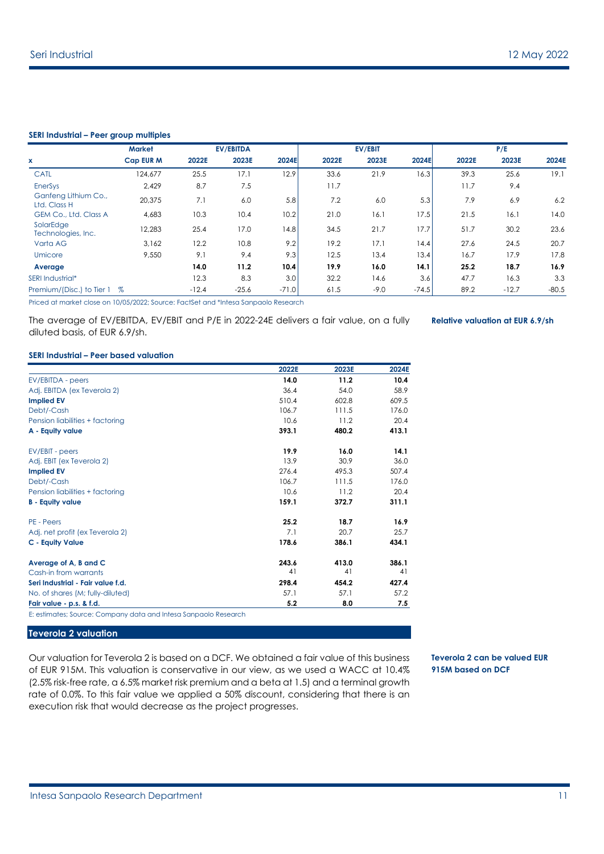#### **SERI Industrial – Peer group multiples**

|                                      | <b>Market</b>    |         | <b>EV/EBITDA</b> |         |       | EV/EBIT |         |       | P/E     |         |
|--------------------------------------|------------------|---------|------------------|---------|-------|---------|---------|-------|---------|---------|
| x                                    | <b>Cap EUR M</b> | 2022E   | 2023E            | 2024E   | 2022E | 2023E   | 2024E   | 2022E | 2023E   | 2024E   |
| <b>CATL</b>                          | 124.677          | 25.5    | 17.1             | 12.9    | 33.6  | 21.9    | 16.3    | 39.3  | 25.6    | 19.1    |
| <b>EnerSys</b>                       | 2,429            | 8.7     | 7.5              |         | 11.7  |         |         | 11.7  | 9.4     |         |
| Ganfeng Lithium Co.,<br>Ltd. Class H | 20,375           | 7.1     | 6.0              | 5.8     | 7.2   | 6.0     | 5.3     | 7.9   | 6.9     | 6.2     |
| GEM Co., Ltd. Class A                | 4,683            | 10.3    | 10.4             | 10.2    | 21.0  | 16.1    | 17.5    | 21.5  | 16.1    | 14.0    |
| SolarEdge<br>Technologies, Inc.      | 12,283           | 25.4    | 17.0             | 14.8    | 34.5  | 21.7    | 17.7    | 51.7  | 30.2    | 23.6    |
| Varta AG                             | 3,162            | 12.2    | 10.8             | 9.2     | 19.2  | 17.1    | 14.4    | 27.6  | 24.5    | 20.7    |
| Umicore                              | 9.550            | 9.1     | 9.4              | 9.3     | 12.5  | 13.4    | 13.4    | 16.7  | 17.9    | 17.8    |
| Average                              |                  | 14.0    | 11.2             | 10.4    | 19.9  | 16.0    | 14.1    | 25.2  | 18.7    | 16.9    |
| SERI Industrial*                     |                  | 12.3    | 8.3              | 3.0     | 32.2  | 14.6    | 3.6     | 47.7  | 16.3    | 3.3     |
| Premium/(Disc.) to Tier 1            | $\%$             | $-12.4$ | $-25.6$          | $-71.0$ | 61.5  | $-9.0$  | $-74.5$ | 89.2  | $-12.7$ | $-80.5$ |

Priced at market close on 10/05/2022; Source: FactSet and \*Intesa Sanpaolo Research

The average of EV/EBITDA, EV/EBIT and P/E in 2022-24E delivers a fair value, on a fully diluted basis, of EUR 6.9/sh.

**Relative valuation at EUR 6.9/sh**

#### **SERI Industrial – Peer based valuation**

|                                                                 | 2022E | 2023E | 2024E |
|-----------------------------------------------------------------|-------|-------|-------|
| EV/EBITDA - peers                                               | 14.0  | 11.2  | 10.4  |
| Adj. EBITDA (ex Teverola 2)                                     | 36.4  | 54.0  | 58.9  |
| <b>Implied EV</b>                                               | 510.4 | 602.8 | 609.5 |
| Debt/-Cash                                                      | 106.7 | 111.5 | 176.0 |
| Pension liabilities + factoring                                 | 10.6  | 11.2  | 20.4  |
| A - Equity value                                                | 393.1 | 480.2 | 413.1 |
| EV/EBIT - peers                                                 | 19.9  | 16.0  | 14.1  |
| Adj. EBIT (ex Teverola 2)                                       | 13.9  | 30.9  | 36.0  |
| <b>Implied EV</b>                                               | 276.4 | 495.3 | 507.4 |
| Debt/-Cash                                                      | 106.7 | 111.5 | 176.0 |
| Pension liabilities + factoring                                 | 10.6  | 11.2  | 20.4  |
| <b>B</b> - Equity value                                         | 159.1 | 372.7 | 311.1 |
| PE - Peers                                                      | 25.2  | 18.7  | 16.9  |
| Adj. net profit (ex Teverola 2)                                 | 7.1   | 20.7  | 25.7  |
| <b>C</b> - Equity Value                                         | 178.6 | 386.1 | 434.1 |
| Average of A, B and C                                           | 243.6 | 413.0 | 386.1 |
| Cash-in from warrants                                           | 41    | 41    | 41    |
| Seri Industrial - Fair value f.d.                               | 298.4 | 454.2 | 427.4 |
| No. of shares (M; fully-diluted)                                | 57.1  | 57.1  | 57.2  |
| Fair value - p.s. & f.d.                                        | 5.2   | 8.0   | 7.5   |
| E: estimates; Source: Company data and Intesa Sanpaolo Research |       |       |       |

#### **Teverola 2 valuation**

Our valuation for Teverola 2 is based on a DCF. We obtained a fair value of this business of EUR 915M. This valuation is conservative in our view, as we used a WACC at 10.4% (2.5% risk-free rate, a 6.5% market risk premium and a beta at 1.5) and a terminal growth rate of 0.0%. To this fair value we applied a 50% discount, considering that there is an execution risk that would decrease as the project progresses.

**Teverola 2 can be valued EUR 915M based on DCF**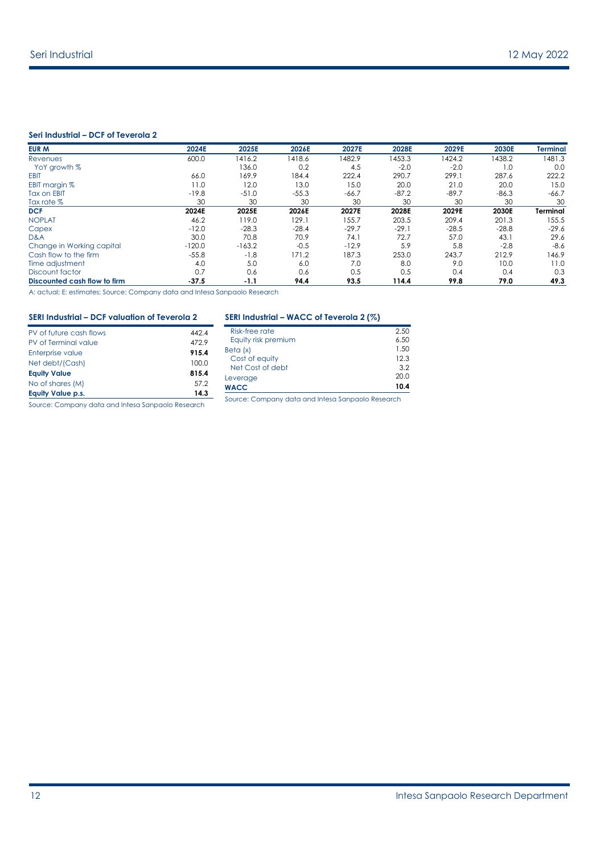#### **Seri Industrial – DCF of Teverola 2**

| EUR M                        | 2024E    | 2025E    | 2026E   | 2027E   | 2028E   | 2029E   | 2030E   | <b>Terminal</b> |
|------------------------------|----------|----------|---------|---------|---------|---------|---------|-----------------|
| Revenues                     | 600.0    | 1416.2   | 1418.6  | 1482.9  | 1453.3  | 1424.2  | 1438.2  | 1481.3          |
| YoY growth %                 |          | 136.0    | 0.2     | 4.5     | $-2.0$  | $-2.0$  | 1.0     | 0.0             |
| <b>EBIT</b>                  | 66.0     | 169.9    | 184.4   | 222.4   | 290.7   | 299.1   | 287.6   | 222.2           |
| EBIT margin %                | 11.0     | 12.0     | 13.0    | 15.0    | 20.0    | 21.0    | 20.0    | 15.0            |
| <b>Tax on EBIT</b>           | $-19.8$  | $-51.0$  | $-55.3$ | $-66.7$ | $-87.2$ | $-89.7$ | $-86.3$ | $-66.7$         |
| Tax rate %                   | 30       | 30       | 30      | 30      | 30      | 30      | 30      | 30              |
| <b>DCF</b>                   | 2024E    | 2025E    | 2026E   | 2027E   | 2028E   | 2029E   | 2030E   | <b>Terminal</b> |
| <b>NOPLAT</b>                | 46.2     | 119.0    | 129.1   | 155.7   | 203.5   | 209.4   | 201.3   | 155.5           |
| Capex                        | $-12.0$  | $-28.3$  | $-28.4$ | $-29.7$ | $-29.1$ | $-28.5$ | $-28.8$ | $-29.6$         |
| D&A                          | 30.0     | 70.8     | 70.9    | 74.1    | 72.7    | 57.0    | 43.1    | 29.6            |
| Change in Working capital    | $-120.0$ | $-163.2$ | $-0.5$  | $-12.9$ | 5.9     | 5.8     | $-2.8$  | $-8.6$          |
| Cash flow to the firm        | $-55.8$  | $-1.8$   | 171.2   | 187.3   | 253.0   | 243.7   | 212.9   | 146.9           |
| Time adjustment              | 4.0      | 5.0      | 6.0     | 7.0     | 8.0     | 9.0     | 10.0    | 11.0            |
| Discount factor              | 0.7      | 0.6      | 0.6     | 0.5     | 0.5     | 0.4     | 0.4     | 0.3             |
| Discounted cash flow to firm | $-37.5$  | $-1.1$   | 94.4    | 93.5    | 114.4   | 99.8    | 79.0    | 49.3            |

A: actual; E: estimates; Source: Company data and Intesa Sanpaolo Research

#### **SERI Industrial – DCF valuation of Teverola 2**

| PV of future cash flows  | 4424  |
|--------------------------|-------|
| PV of Terminal value     | 472.9 |
| Enterprise value         | 915.4 |
| Net debt/(Cash)          | 100.0 |
| <b>Equity Value</b>      | 815.4 |
| No of shares (M)         | 57.2  |
| <b>Equity Value p.s.</b> | 14.3  |
|                          |       |

#### **SERI Industrial – WACC of Teverola 2 (%)**

| <b>WACC</b>         | 10.4 |
|---------------------|------|
| Leverage            | 20.0 |
| Net Cost of debt    | 32   |
| Cost of equity      | 12.3 |
| Beta (x)            | 1.50 |
| Equity risk premium | 6.50 |
| Risk-free rate      | 2.50 |

Source: Company data and Intesa Sanpaolo Research

Source: Company data and Intesa Sanpaolo Research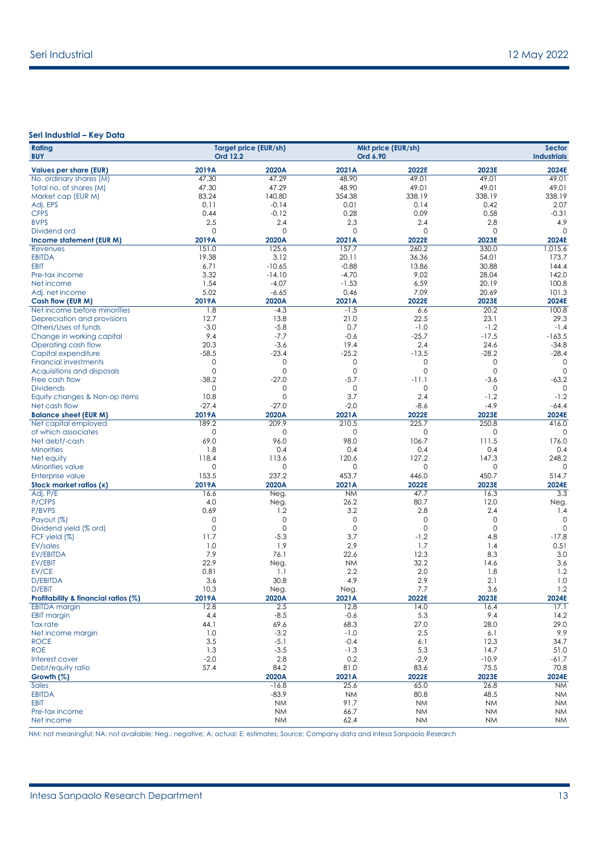#### **Seri Industrial – Key Data**

| Rating<br><b>BUY</b>                           | Ord 12.2             | <b>Target price (EUR/sh)</b> | Ord 6.90         | Mkt price (EUR/sh) |                        | <b>Sector</b><br><b>Industrials</b> |
|------------------------------------------------|----------------------|------------------------------|------------------|--------------------|------------------------|-------------------------------------|
| <b>Values per share (EUR)</b>                  | 2019A                | 2020A                        | 2021A            | 2022E              | 2023E                  | 2024E                               |
| No. ordinary shares (M)                        | 47.30                | 47.29                        | 48.90            | 49.01              | 49.01                  | 49.01                               |
| Total no. of shares (M)                        | 47.30                | 47.29                        | 48.90            | 49.01              | 49.01                  | 49.01                               |
| Market cap (EUR M)                             | 83.24                | 140.80                       | 354.38           | 338.19             | 338.19                 | 338.19                              |
| Adj. EPS                                       | 0.11                 | $-0.14$                      | 0.01             | 0.14               | 0.42                   | 2.07                                |
| <b>CFPS</b>                                    | 0.44                 | $-0.12$                      | 0.28             | 0.09               | 0.58                   | $-0.31$                             |
| <b>BVPS</b>                                    | 2.5                  | 2.4                          | 2.3              | 2.4                | 2.8                    | 4.9                                 |
| Dividend ord                                   | $\mathbf 0$          | $\mathbf 0$                  | 0                | 0                  | 0                      | $\Omega$                            |
| Income statement (EUR M)                       | 2019A<br>151.0       | 2020A<br>125.6               | 2021A<br>157.7   | 2022E<br>260.2     | 2023E<br>330.0         | 2024E                               |
| Revenues<br><b>EBITDA</b>                      | 19.38                | 3.12                         | 20.11            | 36.36              | 54.01                  | 1,015.6<br>173.7                    |
| <b>EBIT</b>                                    | 6.71                 | $-10.65$                     | $-0.88$          | 13.86              | 30.88                  | 144.4                               |
| Pre-tax income                                 | 3.32                 | $-14.10$                     | $-4.70$          | 9.02               | 28.04                  | 142.0                               |
| Net income                                     | 1.54                 | $-4.07$                      | $-1.53$          | 6.59               | 20.19                  | 100.8                               |
| Adj. net income                                | 5.02                 | $-6.65$                      | 0.46             | 7.09               | 20.69                  | 101.3                               |
| Cash flow (EUR M)                              | 2019A                | 2020A                        | 2021A            | 2022E              | 2023E                  | 2024E                               |
| Net income before minorities                   | 1.8                  | $-4.3$                       | $-1.5$           | 6.6                | 20.2                   | 100.8                               |
| Depreciation and provisions                    | 12.7                 | 13.8                         | 21.0             | 22.5               | 23.1                   | 29.3                                |
| Others/Uses of funds                           | $-3.0$               | $-5.8$                       | 0.7              | $-1.0$             | $-1.2$                 | $-1.4$                              |
| Change in working capital                      | 9.4                  | $-7.7$                       | $-0.6$           | $-25.7$            | $-17.5$                | $-163.5$                            |
| Operating cash flow                            | 20.3                 | $-3.6$                       | 19.4             | 2.4                | 24.6                   | $-34.8$                             |
| Capital expenditure                            | $-58.5$              | $-23.4$                      | $-25.2$          | $-13.5$            | $-28.2$                | $-28.4$                             |
| <b>Financial investments</b>                   | $\mathbf{0}$         | $\circ$                      | 0                | $\mathbf 0$        | 0                      | $\mathbf 0$                         |
| Acquisitions and disposals                     | $\mathbf{0}$         | 0                            | 0                | 0                  | $\mathbf 0$            | $\circ$                             |
| Free cash flow                                 | $-38.2$              | $-27.0$                      | $-5.7$           | $-11.1$            | $-3.6$                 | $-63.2$<br>$\Omega$                 |
| <b>Dividends</b>                               | $\mathbf{0}$<br>10.8 | $\circ$<br>$\mathbf{0}$      | 0<br>3.7         | 0<br>2.4           | $\circ$<br>$-1.2$      | $-1.2$                              |
| Equity changes & Non-op items<br>Net cash flow | $-27.4$              | $-27.0$                      | $-2.0$           | $-8.6$             | $-4.9$                 | $-64.4$                             |
| <b>Balance sheet (EUR M)</b>                   | 2019A                | 2020A                        | 2021A            | 2022E              | 2023E                  | 2024E                               |
| Net capital employed                           | 189.2                | 209.9                        | 210.5            | 225.7              | 250.8                  | 416.0                               |
| of which associates                            | $\mathbf 0$          | $\mathbf 0$                  | 0                | 0                  | 0                      | $\Omega$                            |
| Net debt/-cash                                 | 69.0                 | 96.0                         | 98.0             | 106.7              | 111.5                  | 176.0                               |
| <b>Minorities</b>                              | 1.8                  | 0.4                          | 0.4              | 0.4                | 0.4                    | 0.4                                 |
| Net equity                                     | 118.4                | 113.6                        | 120.6            | 127.2              | 147.3                  | 248.2                               |
| Minorities value                               | $\mathbf 0$          | 0                            | 0                | $\mathbf 0$        | $\mathbf 0$            | $\Omega$                            |
| Enterprise value                               | 153.5                | 237.2                        | 453.7            | 446.0              | 450.7                  | 514.7                               |
| Stock market ratios (x)                        | 2019A                | 2020A                        | 2021A            | 2022E              | 2023E                  | 2024E                               |
| Adj. P/E                                       | 16.6                 | Neg.                         | <b>NM</b>        | 47.7               | 16.3                   | 3.3                                 |
| P/CFPS                                         | 4.0                  | Neg.                         | 26.2             | 80.7               | 12.0                   | Neg.                                |
| P/BVPS                                         | 0.69                 | 1.2                          | 3.2              | 2.8                | 2.4                    | 1.4                                 |
| Payout (%)                                     | 0<br>$\mathbf 0$     | 0<br>$\mathbf{0}$            | 0<br>$\mathbf 0$ | 0<br>$\mathbf 0$   | $\circ$<br>$\mathbf 0$ | 0<br>$\Omega$                       |
| Dividend yield (% ord)<br>FCF yield (%)        | 11.7                 | $-5.3$                       | 3.7              | $-1.2$             | 4.8                    | $-17.8$                             |
| <b>EV/sales</b>                                | 1.0                  | 1.9                          | 2.9              | 1.7                | 1.4                    | 0.51                                |
| <b>EV/EBITDA</b>                               | 7.9                  | 76.1                         | 22.6             | 12.3               | 8.3                    | 3.0                                 |
| EV/EBIT                                        | 22.9                 | Neg.                         | <b>NM</b>        | 32.2               | 14.6                   | 3.6                                 |
| EV/CE                                          | 0.81                 | 1.1                          | 2.2              | 2.0                | 1.8                    | 1.2                                 |
| <b>D/EBITDA</b>                                | 3.6                  | 30.8                         | 4.9              | 2.9                | 2.1                    | 1.0                                 |
| D/EBIT                                         | 10.3                 | Neg.                         | Neg.             | 7.7                | 3.6                    | 1.2                                 |
| Profitability & financial ratios (%)           | 2019A                | 2020A                        | 2021A            | 2022E              | 2023E                  | 2024E                               |
| <b>EBITDA</b> margin                           | 12.8                 | 2.5                          | 12.8             | 14.0               | 16.4                   | 17.1                                |
| <b>EBIT margin</b>                             | 4.4                  | $-8.5$                       | $-0.6$           | 5.3                | 9.4                    | 14.2                                |
| Tax rate                                       | 44.1                 | 69.6                         | 68.3             | 27.0               | 28.0                   | 29.0                                |
| Net income margin                              | 1.0                  | $-3.2$                       | $-1.0$           | 2.5                | 6.1                    | 9.9                                 |
| <b>ROCE</b>                                    | 3.5                  | $-5.1$                       | $-0.4$           | 6.1                | 12.3                   | 34.7                                |
| <b>ROE</b>                                     | 1.3<br>$-2.0$        | $-3.5$<br>2.8                | $-1.3$<br>0.2    | 5.3<br>$-2.9$      | 14.7<br>$-10.9$        | 51.0<br>$-61.7$                     |
| Interest cover<br>Debt/equity ratio            | 57.4                 | 84.2                         | 81.0             | 83.6               | 75.5                   | 70.8                                |
| Growth $(\%)$                                  |                      | 2020A                        | 2021A            | 2022E              | 2023E                  | 2024E                               |
| Sales                                          |                      | $-16.8$                      | 25.6             | 65.0               | 26.8                   | <b>NM</b>                           |
| <b>EBITDA</b>                                  |                      | $-83.9$                      | <b>NM</b>        | 80.8               | 48.5                   | <b>NM</b>                           |
| <b>EBIT</b>                                    |                      | <b>NM</b>                    | 91.7             | <b>NM</b>          | <b>NM</b>              | <b>NM</b>                           |
| Pre-tax income                                 |                      | <b>NM</b>                    | 66.7             | <b>NM</b>          | <b>NM</b>              | <b>NM</b>                           |
| Net income                                     |                      | <b>NM</b>                    | 62.4             | <b>NM</b>          | <b>NM</b>              | NM                                  |

NM: not meaningful; NA: not available; Neg.: negative; A: actual; E: estimates; Source: Company data and Intesa Sanpaolo Research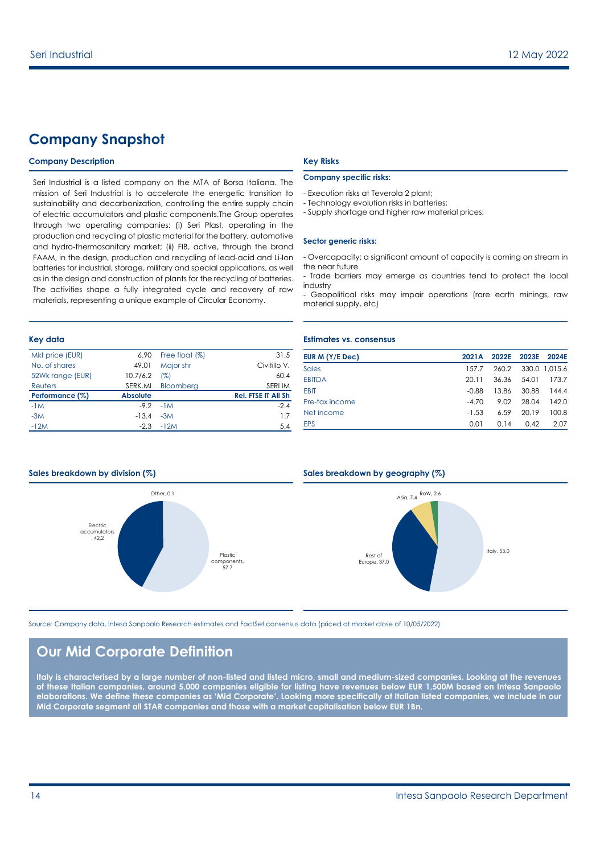### **Company Snapshot**

#### **Company Description Key Risks**

Seri Industrial is a listed company on the MTA of Borsa Italiana. The mission of Seri Industrial is to accelerate the energetic transition to sustainability and decarbonization, controlling the entire supply chain of electric accumulators and plastic components.The Group operates through two operating companies: (i) Seri Plast, operating in the production and recycling of plastic material for the battery, automotive and hydro-thermosanitary market; (ii) FIB, active, through the brand FAAM, in the design, production and recycling of lead-acid and Li-Ion batteries for industrial, storage, military and special applications, as well as in the design and construction of plants for the recycling of batteries. The activities shape a fully integrated cycle and recovery of raw materials, representing a unique example of Circular Economy.

| Mkt price (EUR)  | 6.90            | Free float (%) | 31.5                       |
|------------------|-----------------|----------------|----------------------------|
| No. of shares    | 49.01           | Major shr      | Civitillo V.               |
| 52Wk range (EUR) | 10.7/6.2        | (%)            | 60.4                       |
| Reuters          | SERK.MI         | Bloomberg      | SERI IM                    |
| Performance (%)  | <b>Absolute</b> |                | <b>Rel. FTSE IT All Sh</b> |
| $-1M$            | $-9.2$          | $-1M$          | $-2.4$                     |
| $-3M$            | $-13.4$         | $-3M$          | 17                         |
| $-12M$           | $-2.3$          | $-12M$         | 5.4                        |

#### **Company specific risks:**

- Execution risks at Teverola 2 plant;
- Technology evolution risks in batteries;
- Supply shortage and higher raw material prices;

#### **Sector generic risks:**

- Overcapacity: a significant amount of capacity is coming on stream in the near future

- Trade barriers may emerge as countries tend to protect the local industry
- Geopolitical risks may impair operations (rare earth minings, raw material supply, etc)

#### **Key data Estimates vs. consensus**

| EUR M $(Y/E$ Dec) | 2021A   | 2022E | 2023E | 2024F         |
|-------------------|---------|-------|-------|---------------|
| Sales             | 157.7   | 260.2 |       | 330.0 1.015.6 |
| <b>EBITDA</b>     | 20.11   | 36.36 | 54.01 | 173.7         |
| <b>EBIT</b>       | $-0.88$ | 13.86 | 30.88 | 1444          |
| Pre-tax income    | $-4.70$ | 9.02  | 28.04 | 142.0         |
| Net income        | $-1.53$ | 6.59  | 2019  | 100.8         |
| <b>EPS</b>        | 0.01    | 0.14  | 0.42  | 2.07          |



#### **Sales breakdown by division (%) Sales breakdown by geography (%)**



Source: Company data, Intesa Sanpaolo Research estimates and FactSet consensus data (priced at market close of 10/05/2022)

### **Our Mid Corporate Definition**

**Italy is characterised by a large number of non-listed and listed micro, small and medium-sized companies. Looking at the revenues of these Italian companies, around 5,000 companies eligible for listing have revenues below EUR 1,500M based on Intesa Sanpaolo elaborations. We define these companies as 'Mid Corporate'. Looking more specifically at Italian listed companies, we include in our Mid Corporate segment all STAR companies and those with a market capitalisation below EUR 1Bn.**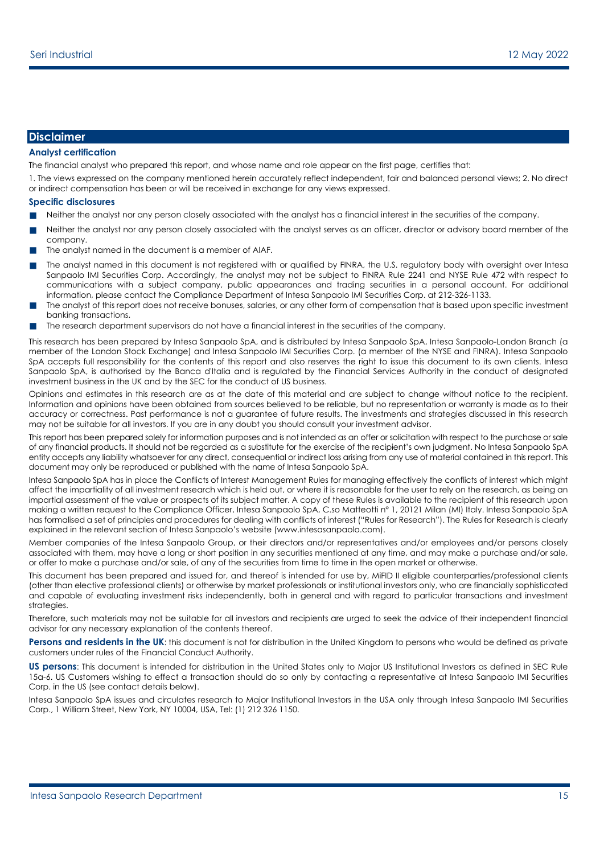#### **Disclaimer**

#### **Analyst certification**

The financial analyst who prepared this report, and whose name and role appear on the first page, certifies that:

1. The views expressed on the company mentioned herein accurately reflect independent, fair and balanced personal views; 2. No direct or indirect compensation has been or will be received in exchange for any views expressed.

#### **Specific disclosures**

- Neither the analyst nor any person closely associated with the analyst has a financial interest in the securities of the company.
- Neither the analyst nor any person closely associated with the analyst serves as an officer, director or advisory board member of the company.
- The analyst named in the document is a member of AIAF.
- The analyst named in this document is not reaistered with or aualified by FINRA, the U.S. regulatory body with oversight over Intesa Sanpaolo IMI Securities Corp. Accordingly, the analyst may not be subject to FINRA Rule 2241 and NYSE Rule 472 with respect to communications with a subject company, public appearances and trading securities in a personal account. For additional information, please contact the Compliance Department of Intesa Sanpaolo IMI Securities Corp. at 212-326-1133.
- The analyst of this report does not receive bonuses, salaries, or any other form of compensation that is based upon specific investment banking transactions.
- The research department supervisors do not have a financial interest in the securities of the company.

This research has been prepared by Intesa Sanpaolo SpA, and is distributed by Intesa Sanpaolo SpA, Intesa Sanpaolo-London Branch (a member of the London Stock Exchange) and Intesa Sanpaolo IMI Securities Corp. (a member of the NYSE and FINRA). Intesa Sanpaolo SpA accepts full responsibility for the contents of this report and also reserves the right to issue this document to its own clients. Intesa Sanpaolo SpA, is authorised by the Banca d'Italia and is regulated by the Financial Services Authority in the conduct of designated investment business in the UK and by the SEC for the conduct of US business.

Opinions and estimates in this research are as at the date of this material and are subject to change without notice to the recipient. Information and opinions have been obtained from sources believed to be reliable, but no representation or warranty is made as to their accuracy or correctness. Past performance is not a guarantee of future results. The investments and strategies discussed in this research may not be suitable for all investors. If you are in any doubt you should consult your investment advisor.

This report has been prepared solely for information purposes and is not intended as an offer or solicitation with respect to the purchase or sale of any financial products. It should not be regarded as a substitute for the exercise of the recipient's own judgment. No Intesa Sanpaolo SpA entity accepts any liability whatsoever for any direct, consequential or indirect loss arising from any use of material contained in this report. This document may only be reproduced or published with the name of Intesa Sanpaolo SpA.

Intesa Sanpaolo SpA has in place the Conflicts of Interest Management Rules for managing effectively the conflicts of interest which might affect the impartiality of all investment research which is held out, or where it is reasonable for the user to rely on the research, as being an impartial assessment of the value or prospects of its subject matter. A copy of these Rules is available to the recipient of this research upon making a written request to the Compliance Officer, Intesa Sanpaolo SpA, C.so Matteotti n° 1, 20121 Milan (MI) Italy. Intesa Sanpaolo SpA has formalised a set of principles and procedures for dealing with conflicts of interest ("Rules for Research"). The Rules for Research is clearly explained in the relevant section of Intesa Sanpaolo's website (www.intesasanpaolo.com).

Member companies of the Intesa Sanpaolo Group, or their directors and/or representatives and/or employees and/or persons closely associated with them, may have a long or short position in any securities mentioned at any time, and may make a purchase and/or sale, or offer to make a purchase and/or sale, of any of the securities from time to time in the open market or otherwise.

This document has been prepared and issued for, and thereof is intended for use by, MiFID II eligible counterparties/professional clients (other than elective professional clients) or otherwise by market professionals or institutional investors only, who are financially sophisticated and capable of evaluating investment risks independently, both in general and with regard to particular transactions and investment strategies.

Therefore, such materials may not be suitable for all investors and recipients are urged to seek the advice of their independent financial advisor for any necessary explanation of the contents thereof.

Persons and residents in the UK: this document is not for distribution in the United Kingdom to persons who would be defined as private customers under rules of the Financial Conduct Authority.

**US persons**: This document is intended for distribution in the United States only to Major US Institutional Investors as defined in SEC Rule 15a-6. US Customers wishing to effect a transaction should do so only by contacting a representative at Intesa Sanpaolo IMI Securities Corp. in the US (see contact details below).

Intesa Sanpaolo SpA issues and circulates research to Major Institutional Investors in the USA only through Intesa Sanpaolo IMI Securities Corp., 1 William Street, New York, NY 10004, USA, Tel: (1) 212 326 1150.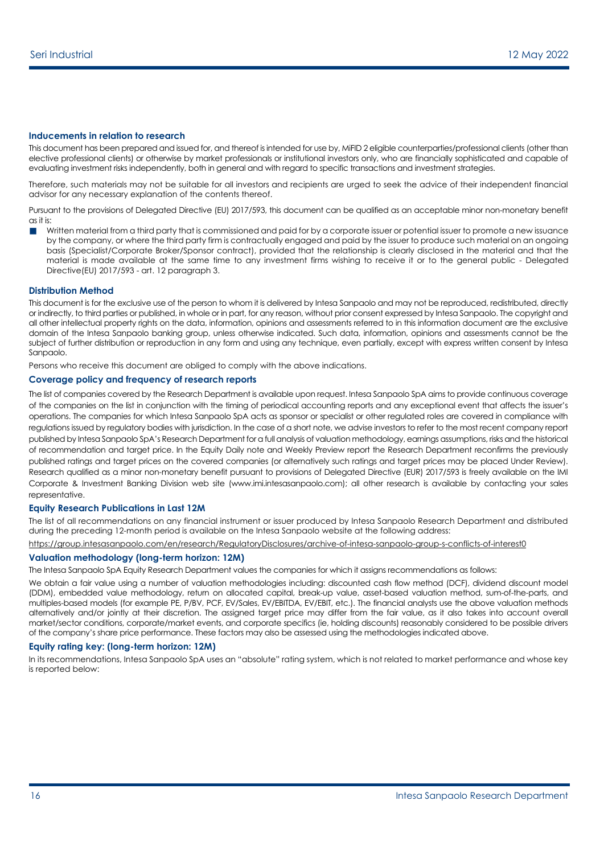#### **Inducements in relation to research**

This document has been prepared and issued for, and thereof is intended for use by, MiFID 2 eligible counterparties/professional clients (other than elective professional clients) or otherwise by market professionals or institutional investors only, who are financially sophisticated and capable of evaluating investment risks independently, both in general and with regard to specific transactions and investment strategies.

Therefore, such materials may not be suitable for all investors and recipients are urged to seek the advice of their independent financial advisor for any necessary explanation of the contents thereof.

Pursuant to the provisions of Delegated Directive (EU) 2017/593, this document can be qualified as an acceptable minor non-monetary benefit as it is:

Written material from a third party that is commissioned and paid for by a corporate issuer or potential issuer to promote a new issuance by the company, or where the third party firm is contractually engaged and paid by the issuer to produce such material on an ongoing basis (Specialist/Corporate Broker/Sponsor contract), provided that the relationship is clearly disclosed in the material and that the material is made available at the same time to any investment firms wishing to receive it or to the general public - Delegated Directive(EU) 2017/593 - art. 12 paragraph 3.

#### **Distribution Method**

This document is for the exclusive use of the person to whom it is delivered by Intesa Sanpaolo and may not be reproduced, redistributed, directly or indirectly, to third parties or published, in whole or in part, for any reason, without prior consent expressed by Intesa Sanpaolo. The copyright and all other intellectual property rights on the data, information, opinions and assessments referred to in this information document are the exclusive domain of the Intesa Sanpaolo banking group, unless otherwise indicated. Such data, information, opinions and assessments cannot be the subject of further distribution or reproduction in any form and using any technique, even partially, except with express written consent by Intesa Sanpaolo.

Persons who receive this document are obliged to comply with the above indications.

#### **Coverage policy and frequency of research reports**

The list of companies covered by the Research Department is available upon request. Intesa Sanpaolo SpA aims to provide continuous coverage of the companies on the list in conjunction with the timing of periodical accounting reports and any exceptional event that affects the issuer's operations. The companies for which Intesa Sanpaolo SpA acts as sponsor or specialist or other regulated roles are covered in compliance with regulations issued by regulatory bodies with jurisdiction. In the case of a short note, we advise investors to refer to the most recent company report published by Intesa Sanpaolo SpA's Research Department for a full analysis of valuation methodology, earnings assumptions, risks and the historical of recommendation and target price. In the Equity Daily note and Weekly Preview report the Research Department reconfirms the previously published ratings and target prices on the covered companies (or alternatively such ratings and target prices may be placed Under Review). Research qualified as a minor non-monetary benefit pursuant to provisions of Delegated Directive (EUR) 2017/593 is freely available on the IMI Corporate & Investment Banking Division web site (www.imi.intesasanpaolo.com); all other research is available by contacting your sales representative.

#### **Equity Research Publications in Last 12M**

The list of all recommendations on any financial instrument or issuer produced by Intesa Sanpaolo Research Department and distributed during the preceding 12-month period is available on the Intesa Sanpaolo website at the following address:

<https://group.intesasanpaolo.com/en/research/RegulatoryDisclosures/archive-of-intesa-sanpaolo-group-s-conflicts-of-interest0>

#### **Valuation methodology (long-term horizon: 12M)**

The Intesa Sanpaolo SpA Equity Research Department values the companies for which it assigns recommendations as follows:

We obtain a fair value using a number of valuation methodologies including: discounted cash flow method (DCF), dividend discount model (DDM), embedded value methodology, return on allocated capital, break-up value, asset-based valuation method, sum-of-the-parts, and multiples-based models (for example PE, P/BV, PCF, EV/Sales, EV/EBITDA, EV/EBIT, etc.). The financial analysts use the above valuation methods alternatively and/or jointly at their discretion. The assigned target price may differ from the fair value, as it also takes into account overall market/sector conditions, corporate/market events, and corporate specifics (ie, holding discounts) reasonably considered to be possible drivers of the company's share price performance. These factors may also be assessed using the methodologies indicated above.

#### **Equity rating key: (long-term horizon: 12M)**

In its recommendations, Intesa Sanpaolo SpA uses an "absolute" rating system, which is not related to market performance and whose key is reported below: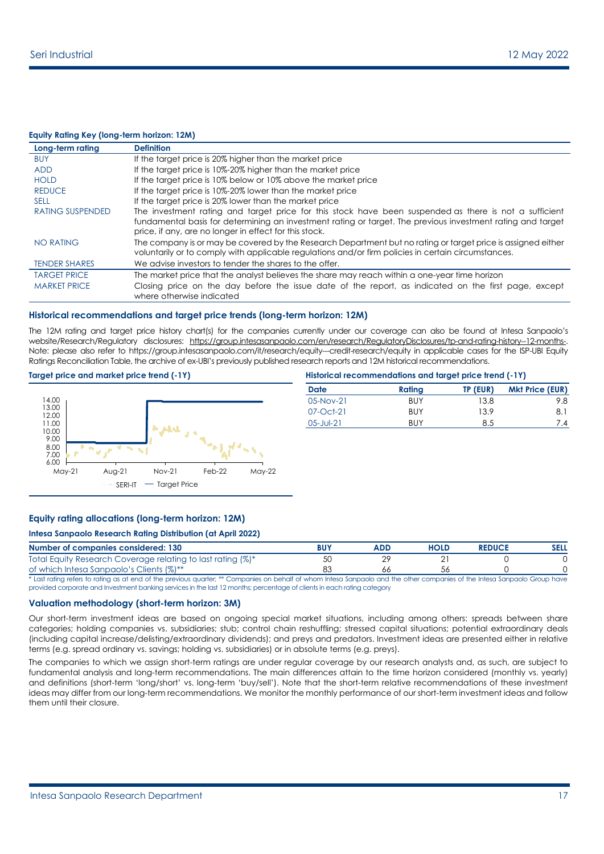#### **Equity Rating Key (long-term horizon: 12M)**

| Long-term rating        | <b>Definition</b>                                                                                            |
|-------------------------|--------------------------------------------------------------------------------------------------------------|
| <b>BUY</b>              | If the target price is 20% higher than the market price                                                      |
| <b>ADD</b>              | If the target price is 10%-20% higher than the market price                                                  |
| <b>HOLD</b>             | If the target price is 10% below or 10% above the market price                                               |
| <b>REDUCE</b>           | If the target price is 10%-20% lower than the market price                                                   |
| <b>SELL</b>             | If the target price is 20% lower than the market price                                                       |
| <b>RATING SUSPENDED</b> | The investment rating and target price for this stock have been suspended as there is not a sufficient       |
|                         | fundamental basis for determining an investment rating or target. The previous investment rating and target  |
|                         | price, if any, are no longer in effect for this stock.                                                       |
| NO RATING               | The company is or may be covered by the Research Department but no rating or target price is assigned either |
|                         | voluntarily or to comply with applicable regulations and/or firm policies in certain circumstances.          |
| <b>TENDER SHARES</b>    | We advise investors to tender the shares to the offer.                                                       |
| <b>TARGET PRICE</b>     | The market price that the analyst believes the share may reach within a one-year time horizon                |
| <b>MARKET PRICE</b>     | Closing price on the day before the issue date of the report, as indicated on the first page, except         |
|                         | where otherwise indicated                                                                                    |

#### **Historical recommendations and target price trends (long-term horizon: 12M)**

The 12M rating and target price history chart(s) for the companies currently under our coverage can also be found at Intesa Sanpaolo's website/Research/Regulatory disclosures: [https://group.intesasanpaolo.com/en/research/RegulatoryDisclosures/tp-and-rating-history--12-months-.](https://group.intesasanpaolo.com/en/research/RegulatoryDisclosures/tp-and-rating-history--12-months-) Note: please also refer to https://group.intesasanpaolo.com/it/research/equity--credit-research/equity in applicable cases for the ISP-UBI Equity Ratings Reconciliation Table, the archive of ex-UBI's previously published research reports and 12M historical recommendations.

#### **Target price and market price trend (-1Y) H**



| istorical recommendations and target price trend (-1Y) |
|--------------------------------------------------------|
|--------------------------------------------------------|

| <b>Date</b> | Rating     | TP (EUR) | <b>Mkt Price (EUR)</b> |
|-------------|------------|----------|------------------------|
| $05-Nov-21$ | BUY        | 13.8     | 9.8                    |
| 07-Oct-21   | BUY        | 13.9     | 8.1                    |
| 05-Jul-21   | <b>BUY</b> | 8.5      | 7.4                    |
|             |            |          |                        |

#### **Equity rating allocations (long-term horizon: 12M)**

#### **Intesa Sanpaolo Research Rating Distribution (at April 2022)**

| Number of companies considered: 130                         | ADD | <b>HOLD</b> | <b>REDUCT</b> | <b>SELL</b> |
|-------------------------------------------------------------|-----|-------------|---------------|-------------|
| Total Equity Research Coverage relating to last rating (%)* | nr  |             |               |             |
| of which Intesa Sanpaolo's Clients (%)**                    | оc  |             |               |             |

\* Last rating refers to rating as at end of the previous quarter; \*\* Companies on behalf of whom Intesa Sanpaolo and the other companies of the Intesa Sanpaolo Group have provided corporate and Investment banking services in the last 12 months; percentage of clients in each rating category

#### **Valuation methodology (short-term horizon: 3M)**

Our short-term investment ideas are based on ongoing special market situations, including among others: spreads between share categories; holding companies vs. subsidiaries; stub; control chain reshuffling; stressed capital situations; potential extraordinary deals (including capital increase/delisting/extraordinary dividends); and preys and predators. Investment ideas are presented either in relative terms (e.g. spread ordinary vs. savings; holding vs. subsidiaries) or in absolute terms (e.g. preys).

The companies to which we assign short-term ratings are under regular coverage by our research analysts and, as such, are subject to fundamental analysis and long-term recommendations. The main differences attain to the time horizon considered (monthly vs. yearly) and definitions (short-term 'long/short' vs. long-term 'buy/sell'). Note that the short-term relative recommendations of these investment ideas may differ from our long-term recommendations. We monitor the monthly performance of our short-term investment ideas and follow them until their closure.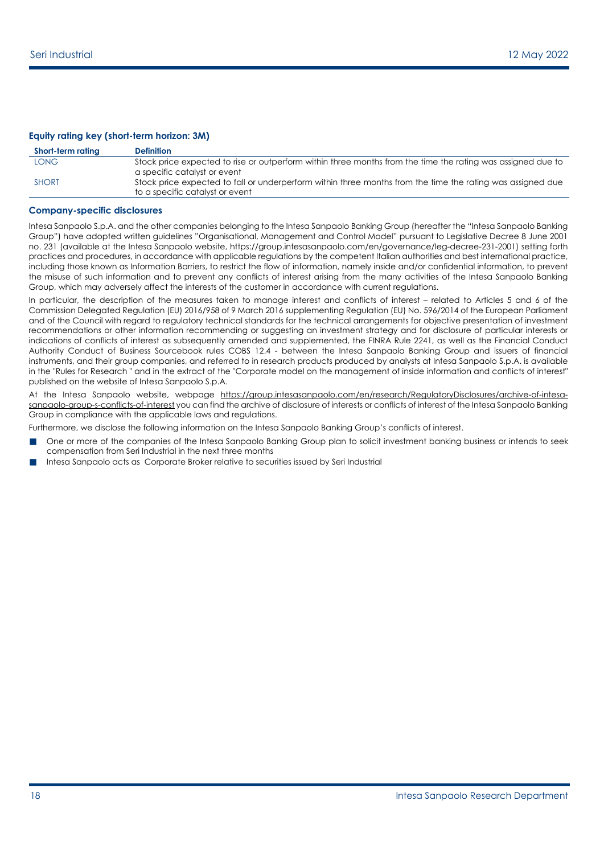#### **Equity rating key (short-term horizon: 3M)**

| Short-term rating | <b>Definition</b>                                                                                                                             |
|-------------------|-----------------------------------------------------------------------------------------------------------------------------------------------|
| LONG-             | Stock price expected to rise or outperform within three months from the time the rating was assigned due to                                   |
|                   | a specific catalyst or event                                                                                                                  |
| <b>SHORT</b>      | Stock price expected to fall or underperform within three months from the time the rating was assigned due<br>to a specific catalyst or event |

#### **Company-specific disclosures**

Intesa Sanpaolo S.p.A. and the other companies belonging to the Intesa Sanpaolo Banking Group (hereafter the "Intesa Sanpaolo Banking Group") have adopted written guidelines "Organisational, Management and Control Model" pursuant to Legislative Decree 8 June 2001 no. 231 (available at the Intesa Sanpaolo website, https://group.intesasanpaolo.com/en/governance/leg-decree-231-2001) setting forth practices and procedures, in accordance with applicable regulations by the competent Italian authorities and best international practice, including those known as Information Barriers, to restrict the flow of information, namely inside and/or confidential information, to prevent the misuse of such information and to prevent any conflicts of interest arising from the many activities of the Intesa Sanpaolo Banking Group, which may adversely affect the interests of the customer in accordance with current regulations.

In particular, the description of the measures taken to manage interest and conflicts of interest – related to Articles 5 and 6 of the Commission Delegated Regulation (EU) 2016/958 of 9 March 2016 supplementing Regulation (EU) No. 596/2014 of the European Parliament and of the Council with regard to regulatory technical standards for the technical arrangements for objective presentation of investment recommendations or other information recommending or suggesting an investment strategy and for disclosure of particular interests or indications of conflicts of interest as subsequently amended and supplemented, the FINRA Rule 2241, as well as the Financial Conduct Authority Conduct of Business Sourcebook rules COBS 12.4 - between the Intesa Sanpaolo Banking Group and issuers of financial instruments, and their group companies, and referred to in research products produced by analysts at Intesa Sanpaolo S.p.A. is available in the "Rules for Research " and in the extract of the "Corporate model on the management of inside information and conflicts of interest" published on the website of Intesa Sanpaolo S.p.A.

At the Intesa Sanpaolo website, webpage [https://group.intesasanpaolo.com/en/research/RegulatoryDisclosures/archive-of-intesa](https://group.intesasanpaolo.com/en/research/RegulatoryDisclosures/archive-of-intesa-sanpaolo-group-s-conflicts-of-interest)[sanpaolo-group-s-conflicts-of-interest](https://group.intesasanpaolo.com/en/research/RegulatoryDisclosures/archive-of-intesa-sanpaolo-group-s-conflicts-of-interest) you can find the archive of disclosure of interests or conflicts of interest of the Intesa Sanpaolo Banking Group in compliance with the applicable laws and regulations.

Furthermore, we disclose the following information on the Intesa Sanpaolo Banking Group's conflicts of interest.

- One or more of the companies of the Intesa Sanpaolo Banking Group plan to solicit investment banking business or intends to seek compensation from Seri Industrial in the next three months
- Intesa Sanpaolo acts as Corporate Broker relative to securities issued by Seri Industrial